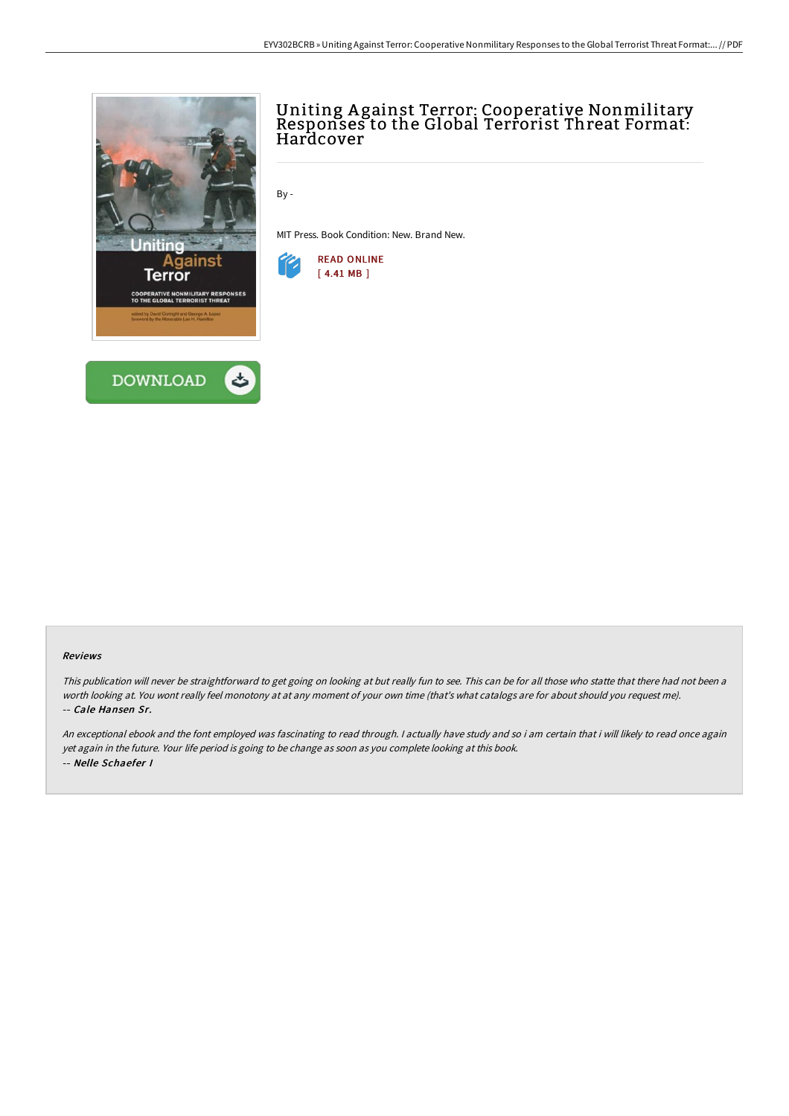



# Uniting A gainst Terror: Cooperative Nonmilitary Responses to the Global Terrorist Threat Format: Hardcover

By -

MIT Press. Book Condition: New. Brand New.



#### Reviews

This publication will never be straightforward to get going on looking at but really fun to see. This can be for all those who statte that there had not been <sup>a</sup> worth looking at. You wont really feel monotony at at any moment of your own time (that's what catalogs are for about should you request me). -- Cale Hansen Sr.

An exceptional ebook and the font employed was fascinating to read through. <sup>I</sup> actually have study and so i am certain that i will likely to read once again yet again in the future. Your life period is going to be change as soon as you complete looking at this book. -- Nelle Schaefer I